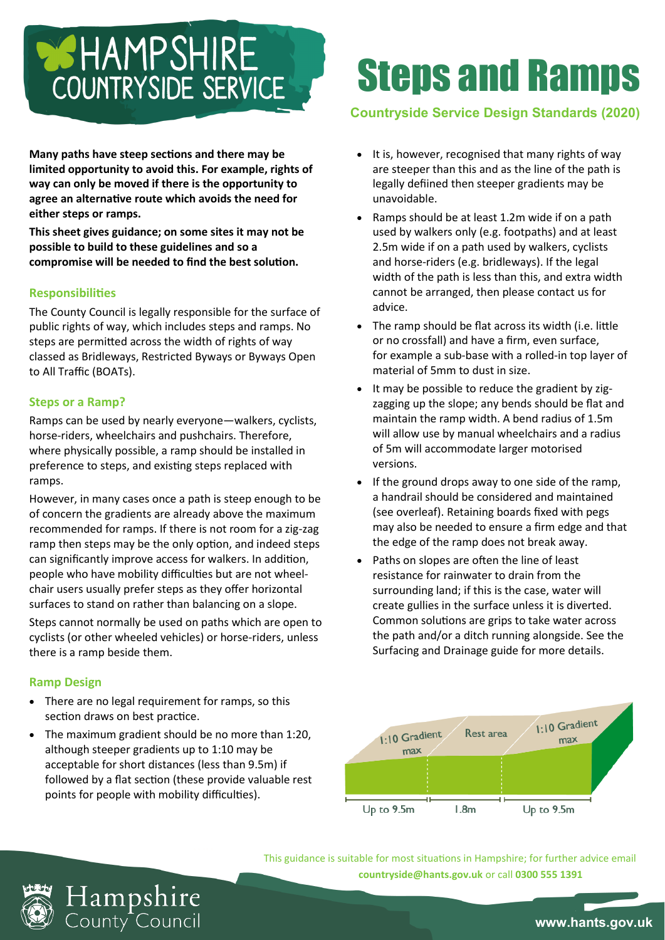## **BEHAMPSHIRE** COUNTRYSIDE SERVICE

**Many paths have steep sections and there may be limited opportunity to avoid this. For example, rights of way can only be moved if there is the opportunity to agree an alternative route which avoids the need for either steps or ramps.**

**This sheet gives guidance; on some sites it may not be possible to build to these guidelines and so a compromise will be needed to find the best solution.**

## **Responsibilities**

The County Council is legally responsible for the surface of public rights of way, which includes steps and ramps. No steps are permitted across the width of rights of way classed as Bridleways, Restricted Byways or Byways Open to All Traffic (BOATs).

## **Steps or a Ramp?**

Ramps can be used by nearly everyone—walkers, cyclists, horse-riders, wheelchairs and pushchairs. Therefore, where physically possible, a ramp should be installed in preference to steps, and existing steps replaced with ramps.

However, in many cases once a path is steep enough to be of concern the gradients are already above the maximum recommended for ramps. If there is not room for a zig-zag ramp then steps may be the only option, and indeed steps can significantly improve access for walkers. In addition, people who have mobility difficulties but are not wheelchair users usually prefer steps as they offer horizontal surfaces to stand on rather than balancing on a slope.

Steps cannot normally be used on paths which are open to cyclists (or other wheeled vehicles) or horse-riders, unless there is a ramp beside them.

#### **Ramp Design**

- There are no legal requirement for ramps, so this section draws on best practice.
- The maximum gradient should be no more than 1:20, although steeper gradients up to 1:10 may be acceptable for short distances (less than 9.5m) if followed by a flat section (these provide valuable rest points for people with mobility difficulties).

H**ampshire**<br>County Council

# Steps and Ramps

## **Countryside Service Design Standards (2020)**

- It is, however, recognised that many rights of way are steeper than this and as the line of the path is legally defiined then steeper gradients may be unavoidable.
- Ramps should be at least 1.2m wide if on a path used by walkers only (e.g. footpaths) and at least 2.5m wide if on a path used by walkers, cyclists and horse-riders (e.g. bridleways). If the legal width of the path is less than this, and extra width cannot be arranged, then please contact us for advice.
- The ramp should be flat across its width (i.e. little or no crossfall) and have a firm, even surface, for example a sub-base with a rolled-in top layer of material of 5mm to dust in size.
- It may be possible to reduce the gradient by zigzagging up the slope; any bends should be flat and maintain the ramp width. A bend radius of 1.5m will allow use by manual wheelchairs and a radius of 5m will accommodate larger motorised versions.
- If the ground drops away to one side of the ramp, a handrail should be considered and maintained (see overleaf). Retaining boards fixed with pegs may also be needed to ensure a firm edge and that the edge of the ramp does not break away.
- Paths on slopes are often the line of least resistance for rainwater to drain from the surrounding land; if this is the case, water will create gullies in the surface unless it is diverted. Common solutions are grips to take water across the path and/or a ditch running alongside. See the Surfacing and Drainage guide for more details.



This guidance is suitable for most situations in Hampshire; for further advice email **countryside@hants.gov.uk** or call **0300 555 1391**